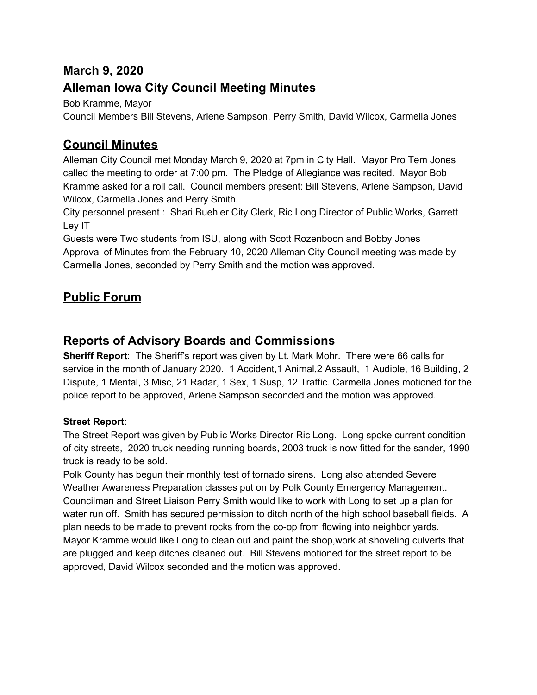## **March 9, 2020**

## **Alleman Iowa City Council Meeting Minutes**

Bob Kramme, Mayor

Council Members Bill Stevens, Arlene Sampson, Perry Smith, David Wilcox, Carmella Jones

## **Council Minutes**

Alleman City Council met Monday March 9, 2020 at 7pm in City Hall. Mayor Pro Tem Jones called the meeting to order at 7:00 pm. The Pledge of Allegiance was recited. Mayor Bob Kramme asked for a roll call. Council members present: Bill Stevens, Arlene Sampson, David Wilcox, Carmella Jones and Perry Smith.

City personnel present : Shari Buehler City Clerk, Ric Long Director of Public Works, Garrett Ley IT

Guests were Two students from ISU, along with Scott Rozenboon and Bobby Jones Approval of Minutes from the February 10, 2020 Alleman City Council meeting was made by Carmella Jones, seconded by Perry Smith and the motion was approved.

## **Public Forum**

## **Reports of Advisory Boards and Commissions**

**Sheriff Report**: The Sheriff's report was given by Lt. Mark Mohr. There were 66 calls for service in the month of January 2020. 1 Accident,1 Animal,2 Assault, 1 Audible, 16 Building, 2 Dispute, 1 Mental, 3 Misc, 21 Radar, 1 Sex, 1 Susp, 12 Traffic. Carmella Jones motioned for the police report to be approved, Arlene Sampson seconded and the motion was approved.

## **Street Report**:

The Street Report was given by Public Works Director Ric Long. Long spoke current condition of city streets, 2020 truck needing running boards, 2003 truck is now fitted for the sander, 1990 truck is ready to be sold.

Polk County has begun their monthly test of tornado sirens. Long also attended Severe Weather Awareness Preparation classes put on by Polk County Emergency Management. Councilman and Street Liaison Perry Smith would like to work with Long to set up a plan for water run off. Smith has secured permission to ditch north of the high school baseball fields. A plan needs to be made to prevent rocks from the co-op from flowing into neighbor yards. Mayor Kramme would like Long to clean out and paint the shop,work at shoveling culverts that are plugged and keep ditches cleaned out. Bill Stevens motioned for the street report to be approved, David Wilcox seconded and the motion was approved.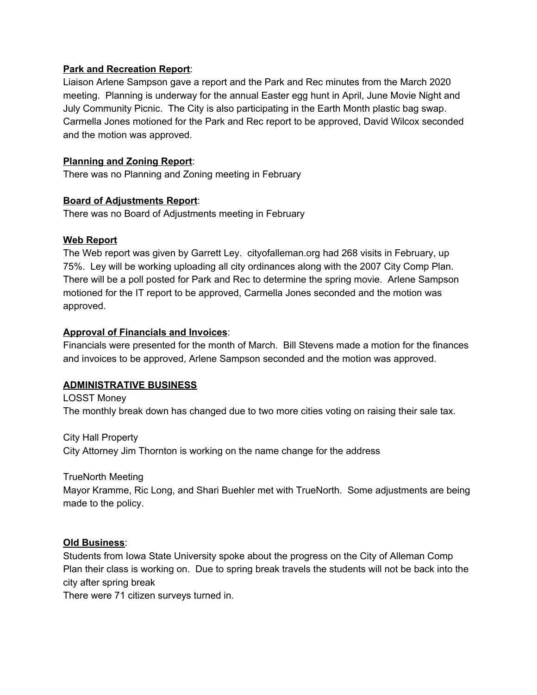#### **Park and Recreation Report**:

Liaison Arlene Sampson gave a report and the Park and Rec minutes from the March 2020 meeting. Planning is underway for the annual Easter egg hunt in April, June Movie Night and July Community Picnic. The City is also participating in the Earth Month plastic bag swap. Carmella Jones motioned for the Park and Rec report to be approved, David Wilcox seconded and the motion was approved.

## **Planning and Zoning Report**:

There was no Planning and Zoning meeting in February

### **Board of Adjustments Report**:

There was no Board of Adjustments meeting in February

#### **Web Report**

The Web report was given by Garrett Ley. cityofalleman.org had 268 visits in February, up 75%. Ley will be working uploading all city ordinances along with the 2007 City Comp Plan. There will be a poll posted for Park and Rec to determine the spring movie. Arlene Sampson motioned for the IT report to be approved, Carmella Jones seconded and the motion was approved.

### **Approval of Financials and Invoices**:

Financials were presented for the month of March. Bill Stevens made a motion for the finances and invoices to be approved, Arlene Sampson seconded and the motion was approved.

### **ADMINISTRATIVE BUSINESS**

LOSST Money The monthly break down has changed due to two more cities voting on raising their sale tax.

City Hall Property City Attorney Jim Thornton is working on the name change for the address

### TrueNorth Meeting

Mayor Kramme, Ric Long, and Shari Buehler met with TrueNorth. Some adjustments are being made to the policy.

### **Old Business**:

Students from Iowa State University spoke about the progress on the City of Alleman Comp Plan their class is working on. Due to spring break travels the students will not be back into the city after spring break

There were 71 citizen surveys turned in.